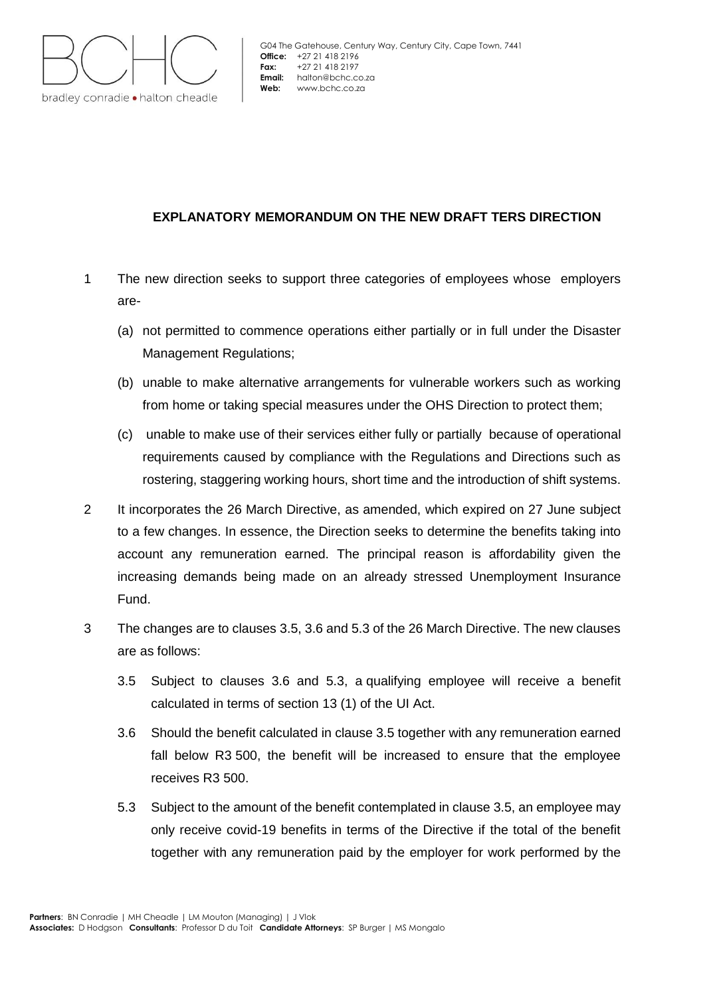

# **EXPLANATORY MEMORANDUM ON THE NEW DRAFT TERS DIRECTION**

- 1 The new direction seeks to support three categories of employees whose employers are-
	- (a) not permitted to commence operations either partially or in full under the Disaster Management Regulations;
	- (b) unable to make alternative arrangements for vulnerable workers such as working from home or taking special measures under the OHS Direction to protect them;
	- (c) unable to make use of their services either fully or partially because of operational requirements caused by compliance with the Regulations and Directions such as rostering, staggering working hours, short time and the introduction of shift systems.
- 2 It incorporates the 26 March Directive, as amended, which expired on 27 June subject to a few changes. In essence, the Direction seeks to determine the benefits taking into account any remuneration earned. The principal reason is affordability given the increasing demands being made on an already stressed Unemployment Insurance Fund.
- 3 The changes are to clauses 3.5, 3.6 and 5.3 of the 26 March Directive. The new clauses are as follows:
	- 3.5 Subject to clauses 3.6 and 5.3, a qualifying employee will receive a benefit calculated in terms of section 13 (1) of the UI Act.
	- 3.6 Should the benefit calculated in clause 3.5 together with any remuneration earned fall below R3 500, the benefit will be increased to ensure that the employee receives R3 500.
	- 5.3 Subject to the amount of the benefit contemplated in clause 3.5, an employee may only receive covid-19 benefits in terms of the Directive if the total of the benefit together with any remuneration paid by the employer for work performed by the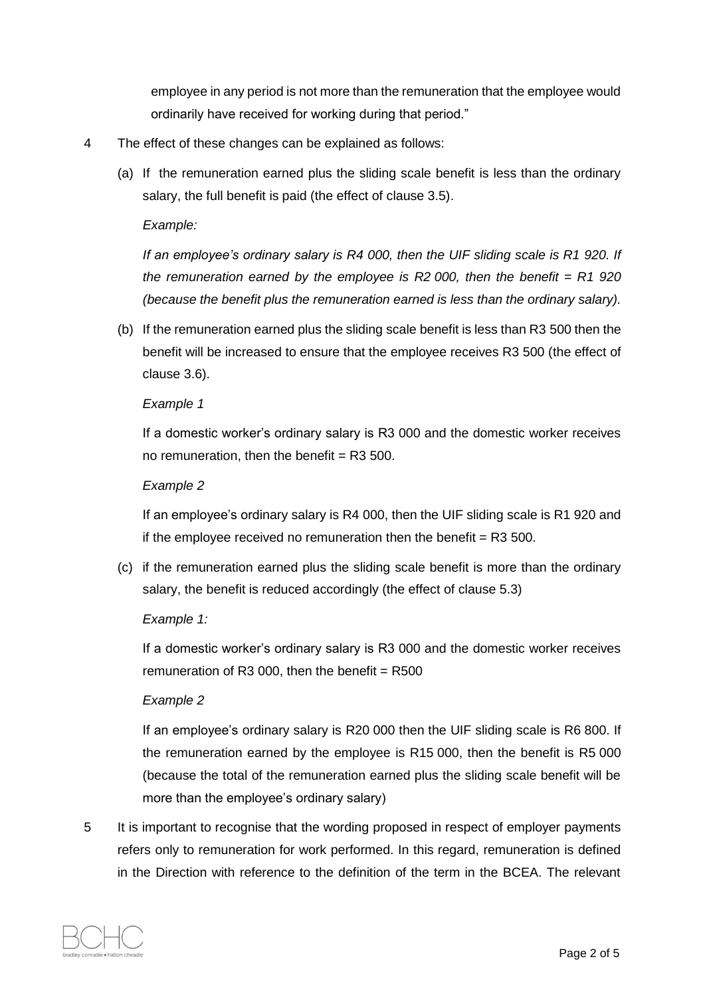employee in any period is not more than the remuneration that the employee would ordinarily have received for working during that period."

- 4 The effect of these changes can be explained as follows:
	- (a) If the remuneration earned plus the sliding scale benefit is less than the ordinary salary, the full benefit is paid (the effect of clause 3.5).

### *Example:*

*If an employee's ordinary salary is R4 000, then the UIF sliding scale is R1 920. If the remuneration earned by the employee is R2 000, then the benefit = R1 920 (because the benefit plus the remuneration earned is less than the ordinary salary).*

(b) If the remuneration earned plus the sliding scale benefit is less than R3 500 then the benefit will be increased to ensure that the employee receives R3 500 (the effect of clause 3.6).

#### *Example 1*

If a domestic worker's ordinary salary is R3 000 and the domestic worker receives no remuneration, then the benefit  $=$  R3 500.

#### *Example 2*

If an employee's ordinary salary is R4 000, then the UIF sliding scale is R1 920 and if the employee received no remuneration then the benefit  $=$  R3 500.

(c) if the remuneration earned plus the sliding scale benefit is more than the ordinary salary, the benefit is reduced accordingly (the effect of clause 5.3)

# *Example 1:*

If a domestic worker's ordinary salary is R3 000 and the domestic worker receives remuneration of R3 000, then the benefit =  $R500$ 

# *Example 2*

If an employee's ordinary salary is R20 000 then the UIF sliding scale is R6 800. If the remuneration earned by the employee is R15 000, then the benefit is R5 000 (because the total of the remuneration earned plus the sliding scale benefit will be more than the employee's ordinary salary)

5 It is important to recognise that the wording proposed in respect of employer payments refers only to remuneration for work performed. In this regard, remuneration is defined in the Direction with reference to the definition of the term in the BCEA. The relevant

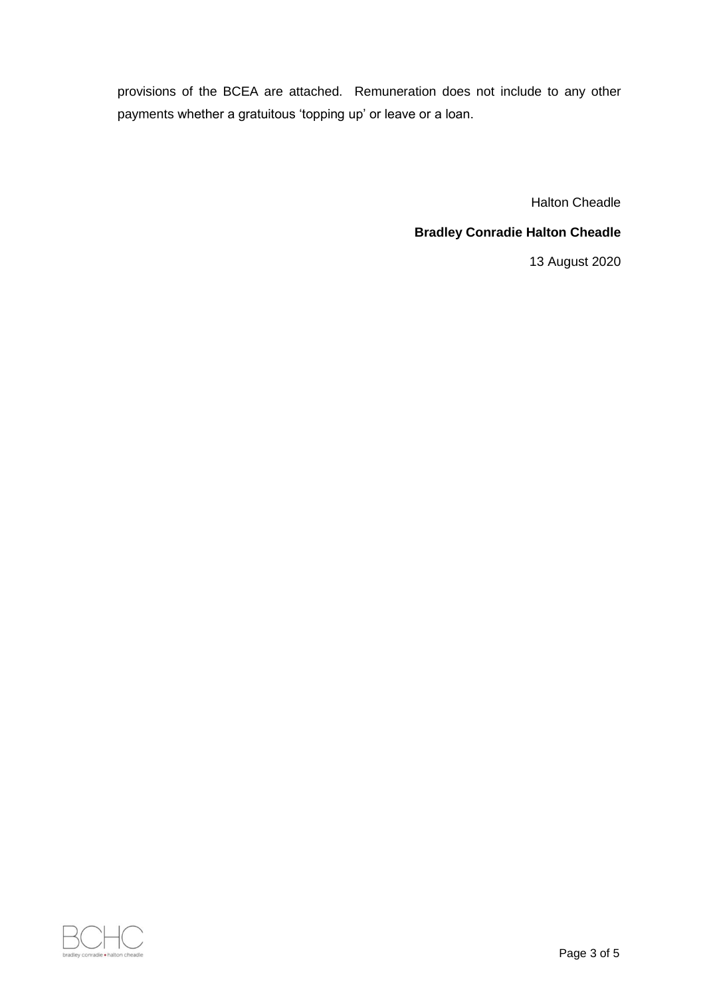provisions of the BCEA are attached. Remuneration does not include to any other payments whether a gratuitous 'topping up' or leave or a loan.

Halton Cheadle

# **Bradley Conradie Halton Cheadle**

13 August 2020

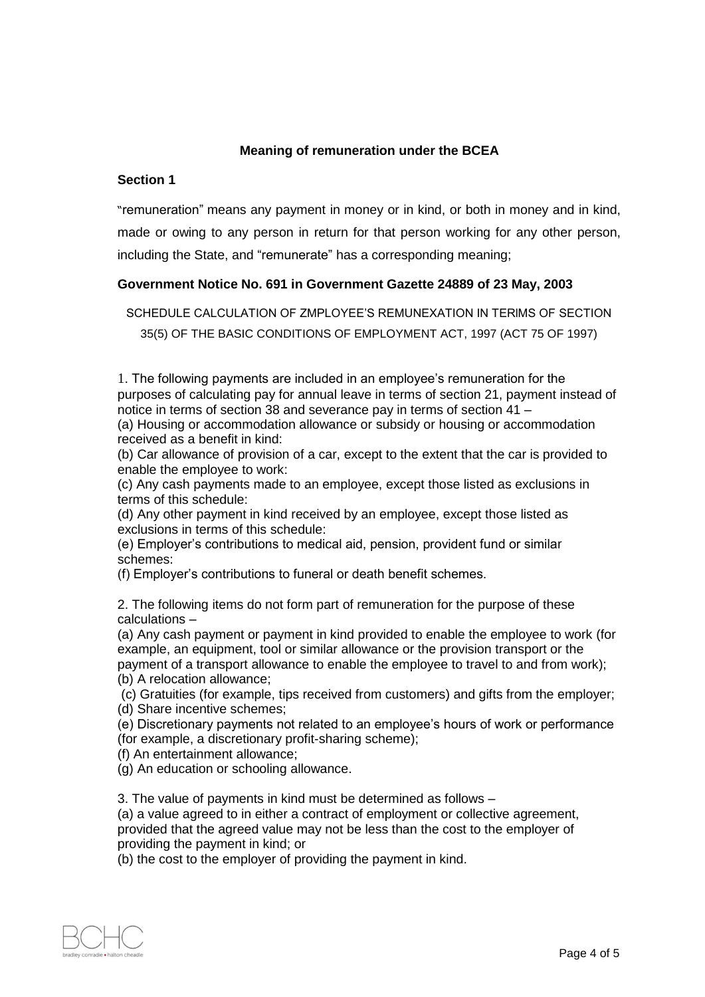# **Meaning of remuneration under the BCEA**

### **Section 1**

"remuneration" means any payment in money or in kind, or both in money and in kind, made or owing to any person in return for that person working for any other person, including the State, and "remunerate" has a corresponding meaning;

# **Government Notice No. 691 in Government Gazette 24889 of 23 May, 2003**

SCHEDULE CALCULATION OF ZMPLOYEE'S REMUNEXATION IN TERlMS OF SECTION 35(5) OF THE BASIC CONDITIONS OF EMPLOYMENT ACT, 1997 (ACT 75 OF 1997)

1. The following payments are included in an employee's remuneration for the purposes of calculating pay for annual leave in terms of section 21, payment instead of notice in terms of section 38 and severance pay in terms of section 41 –

(a) Housing or accommodation allowance or subsidy or housing or accommodation received as a benefit in kind:

(b) Car allowance of provision of a car, except to the extent that the car is provided to enable the employee to work:

(c) Any cash payments made to an employee, except those listed as exclusions in terms of this schedule:

(d) Any other payment in kind received by an employee, except those listed as exclusions in terms of this schedule:

(e) Employer's contributions to medical aid, pension, provident fund or similar schemes:

(f) Employer's contributions to funeral or death benefit schemes.

2. The following items do not form part of remuneration for the purpose of these calculations –

(a) Any cash payment or payment in kind provided to enable the employee to work (for example, an equipment, tool or similar allowance or the provision transport or the payment of a transport allowance to enable the employee to travel to and from work); (b) A relocation allowance;

(c) Gratuities (for example, tips received from customers) and gifts from the employer; (d) Share incentive schemes;

(e) Discretionary payments not related to an employee's hours of work or performance (for example, a discretionary profit-sharing scheme);

(f) An entertainment allowance;

(g) An education or schooling allowance.

3. The value of payments in kind must be determined as follows –

(a) a value agreed to in either a contract of employment or collective agreement, provided that the agreed value may not be less than the cost to the employer of providing the payment in kind; or

(b) the cost to the employer of providing the payment in kind.